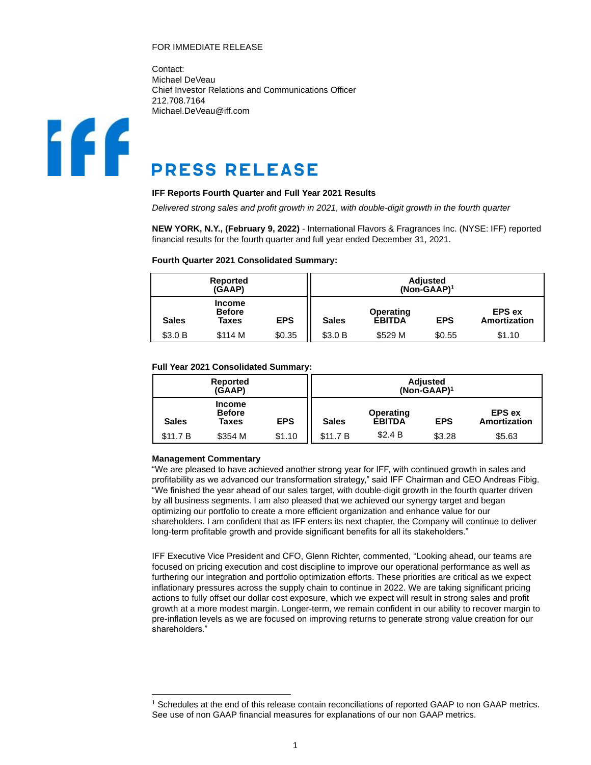# FOR IMMEDIATE RELEASE

Contact: Michael DeVeau Chief Investor Relations and Communications Officer 212.708.7164 Michael.DeVeau@iff.com



# **PRESS RELEASE**

#### **IFF Reports Fourth Quarter and Full Year 2021 Results**

*Delivered strong sales and profit growth in 2021, with double-digit growth in the fourth quarter* 

**NEW YORK, N.Y., (February 9, 2022)** - International Flavors & Fragrances Inc. (NYSE: IFF) reported financial results for the fourth quarter and full year ended December 31, 2021.

#### **Fourth Quarter 2021 Consolidated Summary:**

|              | Reported<br>(GAAP)               |            | Adjusted<br>$(Non-GAAP)^1$ |                            |            |                                      |  |  |
|--------------|----------------------------------|------------|----------------------------|----------------------------|------------|--------------------------------------|--|--|
| <b>Sales</b> | Income<br><b>Before</b><br>Taxes | <b>EPS</b> | <b>Sales</b>               | Operating<br><b>EBITDA</b> | <b>EPS</b> | <b>EPS ex</b><br><b>Amortization</b> |  |  |
| \$3.0 B      | \$114 M                          | \$0.35     | \$3.0 B                    | \$529 M                    | \$0.55     | \$1.10                               |  |  |

#### **Full Year 2021 Consolidated Summary:**

|              | Reported<br>(GAAP)                      |            | <b>Adjusted</b><br>$(Non-GAAP)^1$ |                                   |            |                               |  |  |
|--------------|-----------------------------------------|------------|-----------------------------------|-----------------------------------|------------|-------------------------------|--|--|
| <b>Sales</b> | <b>Income</b><br><b>Before</b><br>Taxes | <b>EPS</b> | <b>Sales</b>                      | <b>Operating</b><br><b>EBITDA</b> | <b>EPS</b> | <b>EPS</b> ex<br>Amortization |  |  |
| \$11.7 B     | \$354 M                                 | \$1.10     | \$11.7 B                          | \$2.4 B                           | \$3.28     | \$5.63                        |  |  |

#### **Management Commentary**

"We are pleased to have achieved another strong year for IFF, with continued growth in sales and profitability as we advanced our transformation strategy," said IFF Chairman and CEO Andreas Fibig. "We finished the year ahead of our sales target, with double-digit growth in the fourth quarter driven by all business segments. I am also pleased that we achieved our synergy target and began optimizing our portfolio to create a more efficient organization and enhance value for our shareholders. I am confident that as IFF enters its next chapter, the Company will continue to deliver long-term profitable growth and provide significant benefits for all its stakeholders."

IFF Executive Vice President and CFO, Glenn Richter, commented, "Looking ahead, our teams are focused on pricing execution and cost discipline to improve our operational performance as well as furthering our integration and portfolio optimization efforts. These priorities are critical as we expect inflationary pressures across the supply chain to continue in 2022. We are taking significant pricing actions to fully offset our dollar cost exposure, which we expect will result in strong sales and profit growth at a more modest margin. Longer-term, we remain confident in our ability to recover margin to pre-inflation levels as we are focused on improving returns to generate strong value creation for our shareholders."

 $<sup>1</sup>$  Schedules at the end of this release contain reconciliations of reported GAAP to non GAAP metrics.</sup> See use of non GAAP financial measures for explanations of our non GAAP metrics.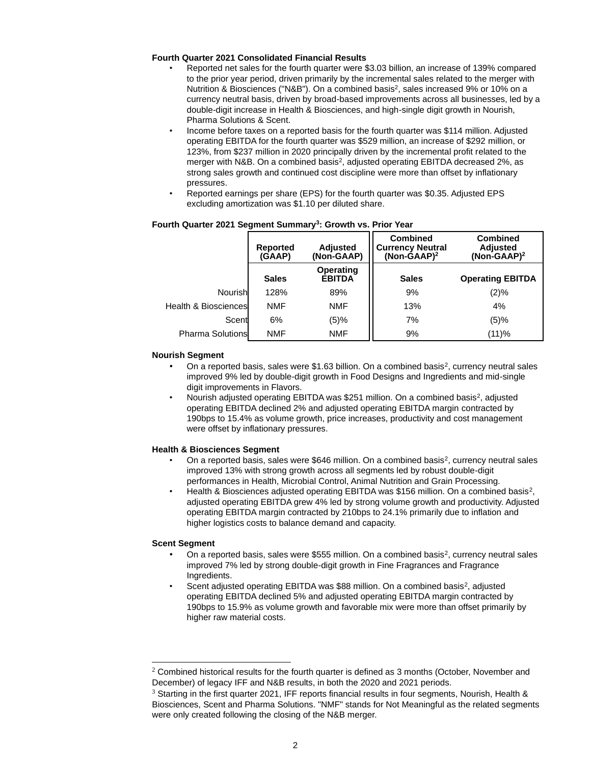# **Fourth Quarter 2021 Consolidated Financial Results**

- Reported net sales for the fourth quarter were \$3.03 billion, an increase of 139% compared to the prior year period, driven primarily by the incremental sales related to the merger with Nutrition & Biosciences ("N&B"). On a combined basis<sup>2</sup>, sales increased 9% or 10% on a currency neutral basis, driven by broad-based improvements across all businesses, led by a double-digit increase in Health & Biosciences, and high-single digit growth in Nourish, Pharma Solutions & Scent.
- Income before taxes on a reported basis for the fourth quarter was \$114 million. Adjusted operating EBITDA for the fourth quarter was \$529 million, an increase of \$292 million, or 123%, from \$237 million in 2020 principally driven by the incremental profit related to the merger with N&B. On a combined basis<sup>2</sup>, adjusted operating EBITDA decreased 2%, as strong sales growth and continued cost discipline were more than offset by inflationary pressures.
- Reported earnings per share (EPS) for the fourth quarter was \$0.35. Adjusted EPS excluding amortization was \$1.10 per diluted share.

|                                 | <b>Reported</b><br>(GAAP) | <b>Adjusted</b><br>(Non-GAAP) | <b>Combined</b><br><b>Currency Neutral</b><br>$(Non-GAAP)^2$ | <b>Combined</b><br><b>Adjusted</b><br>$(Non-GAAP)^2$ |
|---------------------------------|---------------------------|-------------------------------|--------------------------------------------------------------|------------------------------------------------------|
|                                 | <b>Sales</b>              | Operating<br><b>EBITDA</b>    | <b>Sales</b>                                                 | <b>Operating EBITDA</b>                              |
| Nourish                         | 128%                      | 89%                           | 9%                                                           | (2)%                                                 |
| <b>Health &amp; Biosciences</b> | <b>NMF</b>                | NMF                           | 13%                                                          | 4%                                                   |
| Scent                           | 6%                        | (5)%                          | 7%                                                           | (5)%                                                 |
| <b>Pharma Solutions</b>         | <b>NMF</b>                | NMF                           | 9%                                                           | (11)%                                                |

#### **Fourth Quarter 2021 Segment Summary<sup>3</sup> : Growth vs. Prior Year**

#### **Nourish Segment**

- On a reported basis, sales were  $$1.63$  billion. On a combined basis<sup>2</sup>, currency neutral sales improved 9% led by double-digit growth in Food Designs and Ingredients and mid-single digit improvements in Flavors.
- Nourish adjusted operating EBITDA was \$251 million. On a combined basis<sup>2</sup>, adjusted operating EBITDA declined 2% and adjusted operating EBITDA margin contracted by 190bps to 15.4% as volume growth, price increases, productivity and cost management were offset by inflationary pressures.

#### **Health & Biosciences Segment**

- On a reported basis, sales were \$646 million. On a combined basis<sup>2</sup>, currency neutral sales improved 13% with strong growth across all segments led by robust double-digit performances in Health, Microbial Control, Animal Nutrition and Grain Processing.
- Health & Biosciences adjusted operating EBITDA was \$156 million. On a combined basis<sup>2</sup>, adjusted operating EBITDA grew 4% led by strong volume growth and productivity. Adjusted operating EBITDA margin contracted by 210bps to 24.1% primarily due to inflation and higher logistics costs to balance demand and capacity.

#### **Scent Segment**

- On a reported basis, sales were \$555 million. On a combined basis<sup>2</sup>, currency neutral sales improved 7% led by strong double-digit growth in Fine Fragrances and Fragrance Ingredients.
- Scent adjusted operating EBITDA was \$88 million. On a combined basis<sup>2</sup>, adjusted operating EBITDA declined 5% and adjusted operating EBITDA margin contracted by 190bps to 15.9% as volume growth and favorable mix were more than offset primarily by higher raw material costs.

<sup>&</sup>lt;sup>2</sup> Combined historical results for the fourth quarter is defined as 3 months (October, November and December) of legacy IFF and N&B results, in both the 2020 and 2021 periods.

<sup>3</sup> Starting in the first quarter 2021, IFF reports financial results in four segments, Nourish, Health & Biosciences, Scent and Pharma Solutions. "NMF" stands for Not Meaningful as the related segments were only created following the closing of the N&B merger.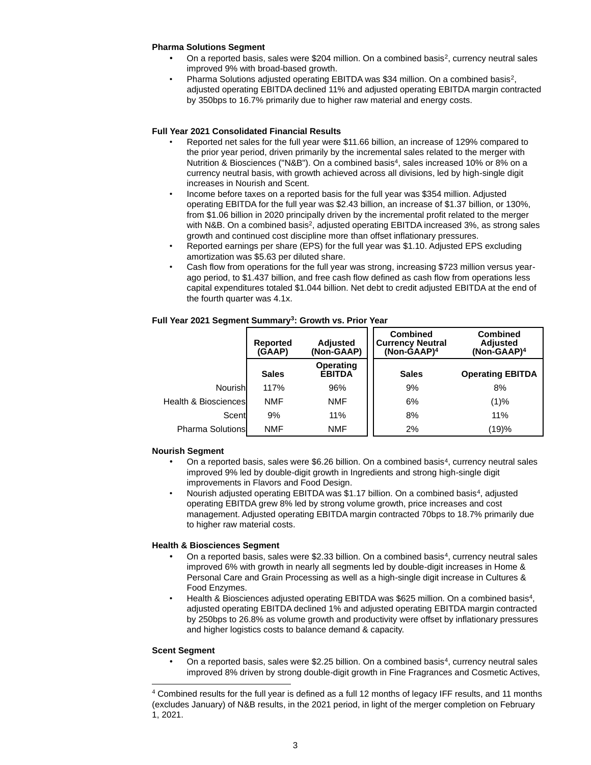# **Pharma Solutions Segment**

- On a reported basis, sales were \$204 million. On a combined basis<sup>2</sup>, currency neutral sales improved 9% with broad-based growth.
- Pharma Solutions adjusted operating EBITDA was \$34 million. On a combined basis<sup>2</sup>, adjusted operating EBITDA declined 11% and adjusted operating EBITDA margin contracted by 350bps to 16.7% primarily due to higher raw material and energy costs.

# **Full Year 2021 Consolidated Financial Results**

- Reported net sales for the full year were \$11.66 billion, an increase of 129% compared to the prior year period, driven primarily by the incremental sales related to the merger with Nutrition & Biosciences ("N&B"). On a combined basis<sup>4</sup> , sales increased 10% or 8% on a currency neutral basis, with growth achieved across all divisions, led by high-single digit increases in Nourish and Scent.
- Income before taxes on a reported basis for the full year was \$354 million. Adjusted operating EBITDA for the full year was \$2.43 billion, an increase of \$1.37 billion, or 130%, from \$1.06 billion in 2020 principally driven by the incremental profit related to the merger with N&B. On a combined basis<sup>2</sup>, adjusted operating EBITDA increased 3%, as strong sales growth and continued cost discipline more than offset inflationary pressures.
- Reported earnings per share (EPS) for the full year was \$1.10. Adjusted EPS excluding amortization was \$5.63 per diluted share.
- Cash flow from operations for the full year was strong, increasing \$723 million versus yearago period, to \$1.437 billion, and free cash flow defined as cash flow from operations less capital expenditures totaled \$1.044 billion. Net debt to credit adjusted EBITDA at the end of the fourth quarter was 4.1x.

|                                 | <b>Reported</b><br>(GAAP) | <b>Adjusted</b><br>(Non-GAAP) | <b>Combined</b><br><b>Currency Neutral</b><br>$(Non-GAAP)^4$ | <b>Combined</b><br><b>Adjusted</b><br>$(Non-GAAP)^4$ |
|---------------------------------|---------------------------|-------------------------------|--------------------------------------------------------------|------------------------------------------------------|
|                                 | <b>Sales</b>              | Operating<br><b>EBITDA</b>    | <b>Sales</b>                                                 | <b>Operating EBITDA</b>                              |
| Nourish                         | 117%                      | 96%                           | 9%                                                           | 8%                                                   |
| <b>Health &amp; Biosciences</b> | <b>NMF</b>                | <b>NMF</b>                    | 6%                                                           | (1)%                                                 |
| Scent                           | 9%                        | 11%                           | 8%                                                           | 11%                                                  |
| <b>Pharma Solutions</b>         | <b>NMF</b>                | <b>NMF</b>                    | 2%                                                           | (19)%                                                |

**Full Year 2021 Segment Summary<sup>3</sup> : Growth vs. Prior Year**

# **Nourish Segment**

- On a reported basis, sales were \$6.26 billion. On a combined basis<sup>4</sup>, currency neutral sales improved 9% led by double-digit growth in Ingredients and strong high-single digit improvements in Flavors and Food Design.
- Nourish adjusted operating EBITDA was \$1.17 billion. On a combined basis<sup>4</sup>, adjusted operating EBITDA grew 8% led by strong volume growth, price increases and cost management. Adjusted operating EBITDA margin contracted 70bps to 18.7% primarily due to higher raw material costs.

# **Health & Biosciences Segment**

- On a reported basis, sales were \$2.33 billion. On a combined basis<sup>4</sup>, currency neutral sales improved 6% with growth in nearly all segments led by double-digit increases in Home & Personal Care and Grain Processing as well as a high-single digit increase in Cultures & Food Enzymes.
- Health & Biosciences adjusted operating EBITDA was \$625 million. On a combined basis<sup>4</sup>, adjusted operating EBITDA declined 1% and adjusted operating EBITDA margin contracted by 250bps to 26.8% as volume growth and productivity were offset by inflationary pressures and higher logistics costs to balance demand & capacity.

# **Scent Segment**

• On a reported basis, sales were \$2.25 billion. On a combined basis<sup>4</sup>, currency neutral sales improved 8% driven by strong double-digit growth in Fine Fragrances and Cosmetic Actives,

<sup>4</sup> Combined results for the full year is defined as a full 12 months of legacy IFF results, and 11 months (excludes January) of N&B results, in the 2021 period, in light of the merger completion on February 1, 2021.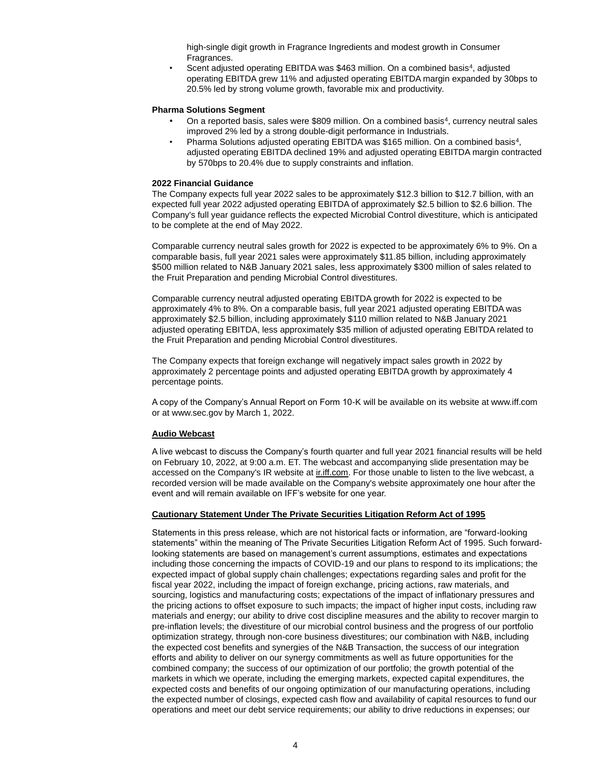high-single digit growth in Fragrance Ingredients and modest growth in Consumer Fragrances.

• Scent adjusted operating EBITDA was \$463 million. On a combined basis<sup>4</sup>, adjusted operating EBITDA grew 11% and adjusted operating EBITDA margin expanded by 30bps to 20.5% led by strong volume growth, favorable mix and productivity.

#### **Pharma Solutions Segment**

- On a reported basis, sales were \$809 million. On a combined basis<sup>4</sup>, currency neutral sales improved 2% led by a strong double-digit performance in Industrials.
- Pharma Solutions adjusted operating EBITDA was \$165 million. On a combined basis<sup>4</sup>, adjusted operating EBITDA declined 19% and adjusted operating EBITDA margin contracted by 570bps to 20.4% due to supply constraints and inflation.

#### **2022 Financial Guidance**

The Company expects full year 2022 sales to be approximately \$12.3 billion to \$12.7 billion, with an expected full year 2022 adjusted operating EBITDA of approximately \$2.5 billion to \$2.6 billion. The Company's full year guidance reflects the expected Microbial Control divestiture, which is anticipated to be complete at the end of May 2022.

Comparable currency neutral sales growth for 2022 is expected to be approximately 6% to 9%. On a comparable basis, full year 2021 sales were approximately \$11.85 billion, including approximately \$500 million related to N&B January 2021 sales, less approximately \$300 million of sales related to the Fruit Preparation and pending Microbial Control divestitures.

Comparable currency neutral adjusted operating EBITDA growth for 2022 is expected to be approximately 4% to 8%. On a comparable basis, full year 2021 adjusted operating EBITDA was approximately \$2.5 billion, including approximately \$110 million related to N&B January 2021 adjusted operating EBITDA, less approximately \$35 million of adjusted operating EBITDA related to the Fruit Preparation and pending Microbial Control divestitures.

The Company expects that foreign exchange will negatively impact sales growth in 2022 by approximately 2 percentage points and adjusted operating EBITDA growth by approximately 4 percentage points.

A copy of the Company's Annual Report on Form 10-K will be available on its website at www.iff.com or at www.sec.gov by March 1, 2022.

# **Audio Webcast**

A live webcast to discuss the Company's fourth quarter and full year 2021 financial results will be held on February 10, 2022, at 9:00 a.m. ET. The webcast and accompanying slide presentation may be accessed on the Company's IR website at iniff.com. For those unable to listen to the live webcast, a recorded version will be made available on the Company's website approximately one hour after the event and will remain available on IFF's website for one year.

# **Cautionary Statement Under The Private Securities Litigation Reform Act of 1995**

Statements in this press release, which are not historical facts or information, are "forward-looking statements" within the meaning of The Private Securities Litigation Reform Act of 1995. Such forwardlooking statements are based on management's current assumptions, estimates and expectations including those concerning the impacts of COVID-19 and our plans to respond to its implications; the expected impact of global supply chain challenges; expectations regarding sales and profit for the fiscal year 2022, including the impact of foreign exchange, pricing actions, raw materials, and sourcing, logistics and manufacturing costs; expectations of the impact of inflationary pressures and the pricing actions to offset exposure to such impacts; the impact of higher input costs, including raw materials and energy; our ability to drive cost discipline measures and the ability to recover margin to pre-inflation levels; the divestiture of our microbial control business and the progress of our portfolio optimization strategy, through non-core business divestitures; our combination with N&B, including the expected cost benefits and synergies of the N&B Transaction, the success of our integration efforts and ability to deliver on our synergy commitments as well as future opportunities for the combined company; the success of our optimization of our portfolio; the growth potential of the markets in which we operate, including the emerging markets, expected capital expenditures, the expected costs and benefits of our ongoing optimization of our manufacturing operations, including the expected number of closings, expected cash flow and availability of capital resources to fund our operations and meet our debt service requirements; our ability to drive reductions in expenses; our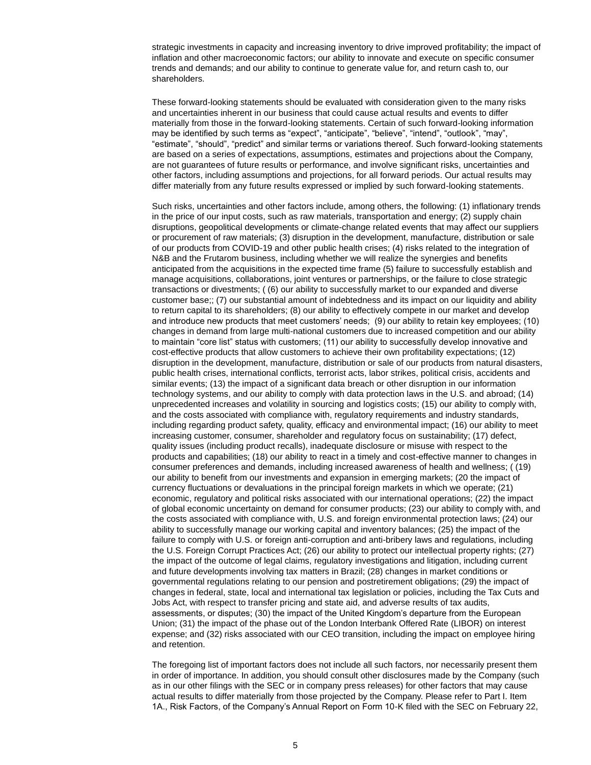strategic investments in capacity and increasing inventory to drive improved profitability; the impact of inflation and other macroeconomic factors; our ability to innovate and execute on specific consumer trends and demands; and our ability to continue to generate value for, and return cash to, our shareholders.

These forward-looking statements should be evaluated with consideration given to the many risks and uncertainties inherent in our business that could cause actual results and events to differ materially from those in the forward-looking statements. Certain of such forward-looking information may be identified by such terms as "expect", "anticipate", "believe", "intend", "outlook", "may", "estimate", "should", "predict" and similar terms or variations thereof. Such forward-looking statements are based on a series of expectations, assumptions, estimates and projections about the Company, are not guarantees of future results or performance, and involve significant risks, uncertainties and other factors, including assumptions and projections, for all forward periods. Our actual results may differ materially from any future results expressed or implied by such forward-looking statements.

Such risks, uncertainties and other factors include, among others, the following: (1) inflationary trends in the price of our input costs, such as raw materials, transportation and energy; (2) supply chain disruptions, geopolitical developments or climate-change related events that may affect our suppliers or procurement of raw materials; (3) disruption in the development, manufacture, distribution or sale of our products from COVID-19 and other public health crises; (4) risks related to the integration of N&B and the Frutarom business, including whether we will realize the synergies and benefits anticipated from the acquisitions in the expected time frame (5) failure to successfully establish and manage acquisitions, collaborations, joint ventures or partnerships, or the failure to close strategic transactions or divestments; ( (6) our ability to successfully market to our expanded and diverse customer base;; (7) our substantial amount of indebtedness and its impact on our liquidity and ability to return capital to its shareholders; (8) our ability to effectively compete in our market and develop and introduce new products that meet customers' needs; (9) our ability to retain key employees; (10) changes in demand from large multi-national customers due to increased competition and our ability to maintain "core list" status with customers; (11) our ability to successfully develop innovative and cost-effective products that allow customers to achieve their own profitability expectations; (12) disruption in the development, manufacture, distribution or sale of our products from natural disasters, public health crises, international conflicts, terrorist acts, labor strikes, political crisis, accidents and similar events; (13) the impact of a significant data breach or other disruption in our information technology systems, and our ability to comply with data protection laws in the U.S. and abroad; (14) unprecedented increases and volatility in sourcing and logistics costs; (15) our ability to comply with, and the costs associated with compliance with, regulatory requirements and industry standards, including regarding product safety, quality, efficacy and environmental impact; (16) our ability to meet increasing customer, consumer, shareholder and regulatory focus on sustainability; (17) defect, quality issues (including product recalls), inadequate disclosure or misuse with respect to the products and capabilities; (18) our ability to react in a timely and cost-effective manner to changes in consumer preferences and demands, including increased awareness of health and wellness; ( (19) our ability to benefit from our investments and expansion in emerging markets; (20 the impact of currency fluctuations or devaluations in the principal foreign markets in which we operate; (21) economic, regulatory and political risks associated with our international operations; (22) the impact of global economic uncertainty on demand for consumer products; (23) our ability to comply with, and the costs associated with compliance with, U.S. and foreign environmental protection laws; (24) our ability to successfully manage our working capital and inventory balances; (25) the impact of the failure to comply with U.S. or foreign anti-corruption and anti-bribery laws and regulations, including the U.S. Foreign Corrupt Practices Act; (26) our ability to protect our intellectual property rights; (27) the impact of the outcome of legal claims, regulatory investigations and litigation, including current and future developments involving tax matters in Brazil; (28) changes in market conditions or governmental regulations relating to our pension and postretirement obligations; (29) the impact of changes in federal, state, local and international tax legislation or policies, including the Tax Cuts and Jobs Act, with respect to transfer pricing and state aid, and adverse results of tax audits, assessments, or disputes; (30) the impact of the United Kingdom's departure from the European Union; (31) the impact of the phase out of the London Interbank Offered Rate (LIBOR) on interest expense; and (32) risks associated with our CEO transition, including the impact on employee hiring and retention.

The foregoing list of important factors does not include all such factors, nor necessarily present them in order of importance. In addition, you should consult other disclosures made by the Company (such as in our other filings with the SEC or in company press releases) for other factors that may cause actual results to differ materially from those projected by the Company. Please refer to Part I. Item 1A., Risk Factors, of the Company's Annual Report on Form 10-K filed with the SEC on February 22,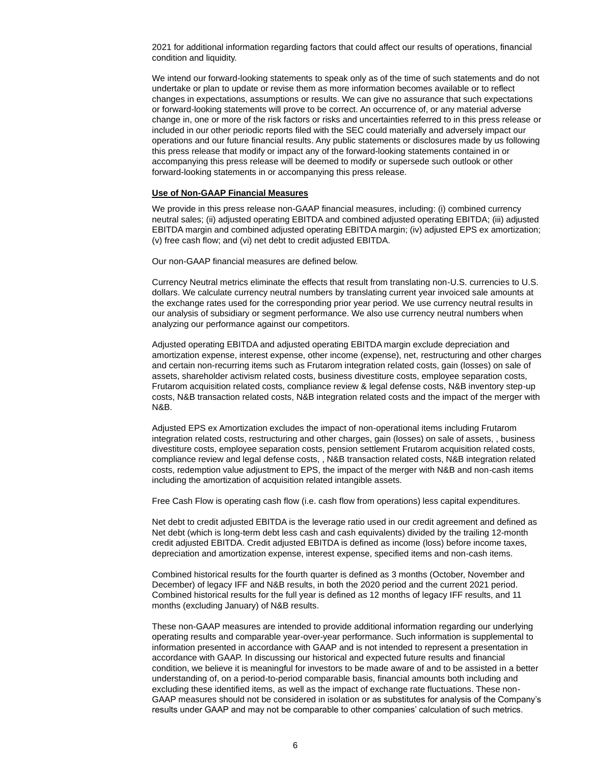2021 for additional information regarding factors that could affect our results of operations, financial condition and liquidity.

We intend our forward-looking statements to speak only as of the time of such statements and do not undertake or plan to update or revise them as more information becomes available or to reflect changes in expectations, assumptions or results. We can give no assurance that such expectations or forward-looking statements will prove to be correct. An occurrence of, or any material adverse change in, one or more of the risk factors or risks and uncertainties referred to in this press release or included in our other periodic reports filed with the SEC could materially and adversely impact our operations and our future financial results. Any public statements or disclosures made by us following this press release that modify or impact any of the forward-looking statements contained in or accompanying this press release will be deemed to modify or supersede such outlook or other forward-looking statements in or accompanying this press release.

#### **Use of Non-GAAP Financial Measures**

We provide in this press release non-GAAP financial measures, including: (i) combined currency neutral sales; (ii) adjusted operating EBITDA and combined adjusted operating EBITDA; (iii) adjusted EBITDA margin and combined adjusted operating EBITDA margin; (iv) adjusted EPS ex amortization; (v) free cash flow; and (vi) net debt to credit adjusted EBITDA.

Our non-GAAP financial measures are defined below.

Currency Neutral metrics eliminate the effects that result from translating non-U.S. currencies to U.S. dollars. We calculate currency neutral numbers by translating current year invoiced sale amounts at the exchange rates used for the corresponding prior year period. We use currency neutral results in our analysis of subsidiary or segment performance. We also use currency neutral numbers when analyzing our performance against our competitors.

Adjusted operating EBITDA and adjusted operating EBITDA margin exclude depreciation and amortization expense, interest expense, other income (expense), net, restructuring and other charges and certain non-recurring items such as Frutarom integration related costs, gain (losses) on sale of assets, shareholder activism related costs, business divestiture costs, employee separation costs, Frutarom acquisition related costs, compliance review & legal defense costs, N&B inventory step-up costs, N&B transaction related costs, N&B integration related costs and the impact of the merger with N&B.

Adjusted EPS ex Amortization excludes the impact of non-operational items including Frutarom integration related costs, restructuring and other charges, gain (losses) on sale of assets, , business divestiture costs, employee separation costs, pension settlement Frutarom acquisition related costs, compliance review and legal defense costs, , N&B transaction related costs, N&B integration related costs, redemption value adjustment to EPS, the impact of the merger with N&B and non-cash items including the amortization of acquisition related intangible assets.

Free Cash Flow is operating cash flow (i.e. cash flow from operations) less capital expenditures.

Net debt to credit adjusted EBITDA is the leverage ratio used in our credit agreement and defined as Net debt (which is long-term debt less cash and cash equivalents) divided by the trailing 12-month credit adjusted EBITDA. Credit adjusted EBITDA is defined as income (loss) before income taxes, depreciation and amortization expense, interest expense, specified items and non-cash items.

Combined historical results for the fourth quarter is defined as 3 months (October, November and December) of legacy IFF and N&B results, in both the 2020 period and the current 2021 period. Combined historical results for the full year is defined as 12 months of legacy IFF results, and 11 months (excluding January) of N&B results.

These non-GAAP measures are intended to provide additional information regarding our underlying operating results and comparable year-over-year performance. Such information is supplemental to information presented in accordance with GAAP and is not intended to represent a presentation in accordance with GAAP. In discussing our historical and expected future results and financial condition, we believe it is meaningful for investors to be made aware of and to be assisted in a better understanding of, on a period-to-period comparable basis, financial amounts both including and excluding these identified items, as well as the impact of exchange rate fluctuations. These non-GAAP measures should not be considered in isolation or as substitutes for analysis of the Company's results under GAAP and may not be comparable to other companies' calculation of such metrics.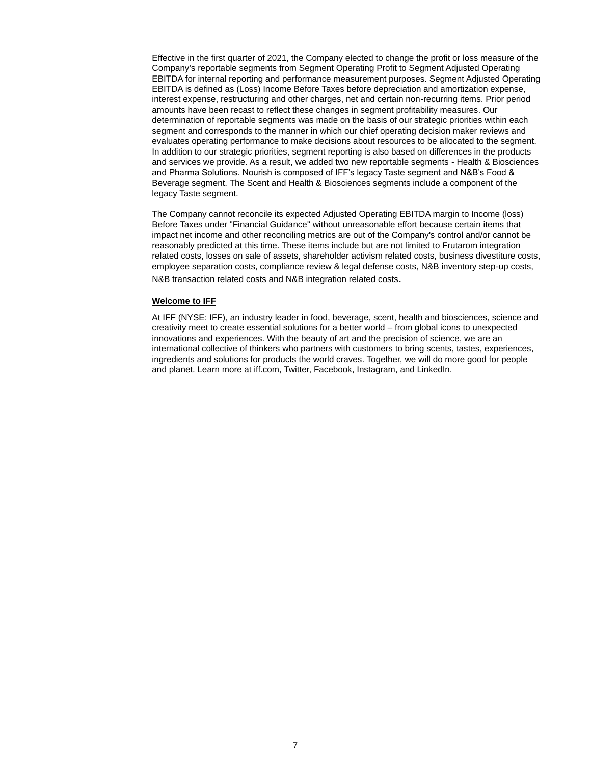Effective in the first quarter of 2021, the Company elected to change the profit or loss measure of the Company's reportable segments from Segment Operating Profit to Segment Adjusted Operating EBITDA for internal reporting and performance measurement purposes. Segment Adjusted Operating EBITDA is defined as (Loss) Income Before Taxes before depreciation and amortization expense, interest expense, restructuring and other charges, net and certain non-recurring items. Prior period amounts have been recast to reflect these changes in segment profitability measures. Our determination of reportable segments was made on the basis of our strategic priorities within each segment and corresponds to the manner in which our chief operating decision maker reviews and evaluates operating performance to make decisions about resources to be allocated to the segment. In addition to our strategic priorities, segment reporting is also based on differences in the products and services we provide. As a result, we added two new reportable segments - Health & Biosciences and Pharma Solutions. Nourish is composed of IFF's legacy Taste segment and N&B's Food & Beverage segment. The Scent and Health & Biosciences segments include a component of the legacy Taste segment.

The Company cannot reconcile its expected Adjusted Operating EBITDA margin to Income (loss) Before Taxes under "Financial Guidance" without unreasonable effort because certain items that impact net income and other reconciling metrics are out of the Company's control and/or cannot be reasonably predicted at this time. These items include but are not limited to Frutarom integration related costs, losses on sale of assets, shareholder activism related costs, business divestiture costs, employee separation costs, compliance review & legal defense costs, N&B inventory step-up costs, N&B transaction related costs and N&B integration related costs.

#### **Welcome to IFF**

At IFF (NYSE: IFF), an industry leader in food, beverage, scent, health and biosciences, science and creativity meet to create essential solutions for a better world – from global icons to unexpected innovations and experiences. With the beauty of art and the precision of science, we are an international collective of thinkers who partners with customers to bring scents, tastes, experiences, ingredients and solutions for products the world craves. Together, we will do more good for people and planet. Learn more at iff.com, Twitter, Facebook, Instagram, and LinkedIn.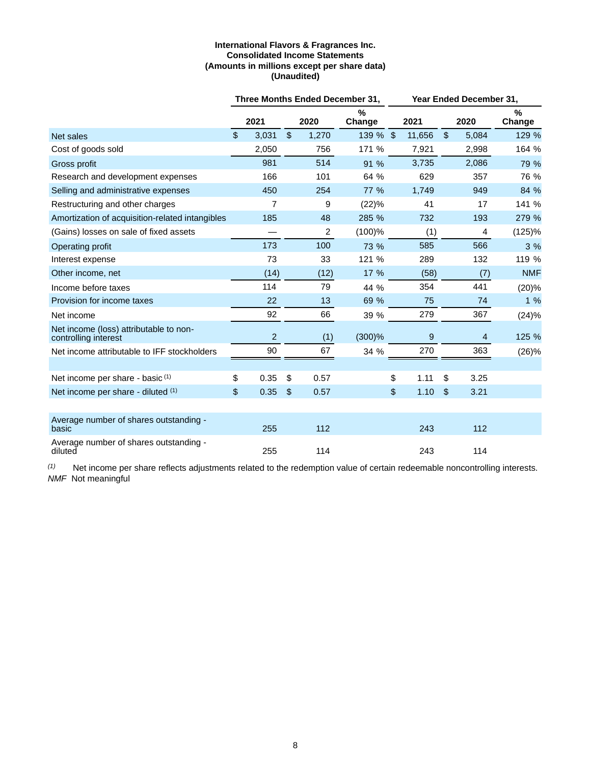# **International Flavors & Fragrances Inc. Consolidated Income Statements (Amounts in millions except per share data) (Unaudited)**

|                                                                |               |                |                         |                | Three Months Ended December 31,<br><b>Year Ended December 31.</b> |    |        |                         |                |             |
|----------------------------------------------------------------|---------------|----------------|-------------------------|----------------|-------------------------------------------------------------------|----|--------|-------------------------|----------------|-------------|
|                                                                |               | 2021           |                         | 2020           | %<br>Change                                                       |    | 2021   |                         | 2020           | %<br>Change |
| Net sales                                                      | $\mathsf{\$}$ | 3,031          | $\sqrt[6]{\frac{1}{2}}$ | 1,270          | 139 % \$                                                          |    | 11,656 | $\sqrt[6]{\frac{1}{2}}$ | 5,084          | 129 %       |
| Cost of goods sold                                             |               | 2,050          |                         | 756            | 171 %                                                             |    | 7,921  |                         | 2,998          | 164 %       |
| Gross profit                                                   |               | 981            |                         | 514            | 91 %                                                              |    | 3,735  |                         | 2,086          | 79 %        |
| Research and development expenses                              |               | 166            |                         | 101            | 64 %                                                              |    | 629    |                         | 357            | 76 %        |
| Selling and administrative expenses                            |               | 450            |                         | 254            | 77 %                                                              |    | 1,749  |                         | 949            | 84 %        |
| Restructuring and other charges                                |               | $\overline{7}$ |                         | 9              | (22)%                                                             |    | 41     |                         | 17             | 141 %       |
| Amortization of acquisition-related intangibles                |               | 185            |                         | 48             | 285 %                                                             |    | 732    |                         | 193            | 279 %       |
| (Gains) losses on sale of fixed assets                         |               |                |                         | $\overline{c}$ | $(100)$ %                                                         |    | (1)    |                         | 4              | (125)%      |
| Operating profit                                               |               | 173            |                         | 100            | 73 %                                                              |    | 585    |                         | 566            | 3 %         |
| Interest expense                                               |               | 73             |                         | 33             | 121 %                                                             |    | 289    |                         | 132            | 119 %       |
| Other income, net                                              |               | (14)           |                         | (12)           | 17 %                                                              |    | (58)   |                         | (7)            | <b>NMF</b>  |
| Income before taxes                                            |               | 114            |                         | 79             | 44 %                                                              |    | 354    |                         | 441            | (20)%       |
| Provision for income taxes                                     |               | 22             |                         | 13             | 69 %                                                              |    | 75     |                         | 74             | 1%          |
| Net income                                                     |               | 92             |                         | 66             | 39 %                                                              |    | 279    |                         | 367            | (24)%       |
| Net income (loss) attributable to non-<br>controlling interest |               | $\overline{2}$ |                         | (1)            | $(300)$ %                                                         |    | 9      |                         | $\overline{4}$ | 125 %       |
| Net income attributable to IFF stockholders                    |               | 90             |                         | 67             | 34 %                                                              |    | 270    |                         | 363            | (26)%       |
|                                                                |               |                |                         |                |                                                                   |    |        |                         |                |             |
| Net income per share - basic (1)                               | \$            | 0.35           | \$                      | 0.57           |                                                                   | \$ | 1.11   | \$                      | 3.25           |             |
| Net income per share - diluted (1)                             | \$            | 0.35           | $\sqrt[6]{\frac{1}{2}}$ | 0.57           |                                                                   | \$ | 1.10   | $\sqrt[6]{\frac{1}{2}}$ | 3.21           |             |
|                                                                |               |                |                         |                |                                                                   |    |        |                         |                |             |
| Average number of shares outstanding -<br>basic                |               | 255            |                         | 112            |                                                                   |    | 243    |                         | 112            |             |
| Average number of shares outstanding -<br>diluted              |               | 255            |                         | 114            |                                                                   |    | 243    |                         | 114            |             |

*(1)* Net income per share reflects adjustments related to the redemption value of certain redeemable noncontrolling interests. *NMF* Not meaningful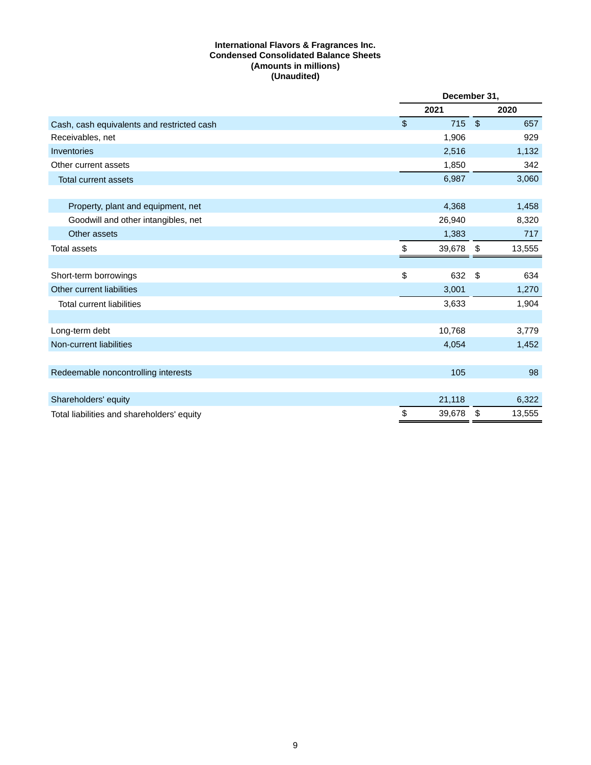# **International Flavors & Fragrances Inc. Condensed Consolidated Balance Sheets (Amounts in millions) (Unaudited)**

|                                            |                         | December 31, |                           |        |
|--------------------------------------------|-------------------------|--------------|---------------------------|--------|
|                                            |                         | 2021         |                           | 2020   |
| Cash, cash equivalents and restricted cash | $\sqrt[6]{\frac{1}{2}}$ | 715          | $\sqrt{3}$                | 657    |
| Receivables, net                           |                         | 1,906        |                           | 929    |
| Inventories                                |                         | 2,516        |                           | 1,132  |
| Other current assets                       |                         | 1,850        |                           | 342    |
| <b>Total current assets</b>                |                         | 6,987        |                           | 3,060  |
|                                            |                         |              |                           |        |
| Property, plant and equipment, net         |                         | 4,368        |                           | 1,458  |
| Goodwill and other intangibles, net        |                         | 26,940       |                           | 8,320  |
| Other assets                               |                         | 1,383        |                           | 717    |
| <b>Total assets</b>                        | \$                      | 39,678       | \$                        | 13,555 |
|                                            |                         |              |                           |        |
| Short-term borrowings                      | \$                      | 632          | $\boldsymbol{\mathsf{S}}$ | 634    |
| Other current liabilities                  |                         | 3,001        |                           | 1,270  |
| <b>Total current liabilities</b>           |                         | 3,633        |                           | 1,904  |
|                                            |                         |              |                           |        |
| Long-term debt                             |                         | 10,768       |                           | 3,779  |
| Non-current liabilities                    |                         | 4,054        |                           | 1,452  |
|                                            |                         |              |                           |        |
| Redeemable noncontrolling interests        |                         | 105          |                           | 98     |
|                                            |                         |              |                           |        |
| Shareholders' equity                       |                         | 21,118       |                           | 6,322  |
| Total liabilities and shareholders' equity | \$                      | 39,678       | \$                        | 13,555 |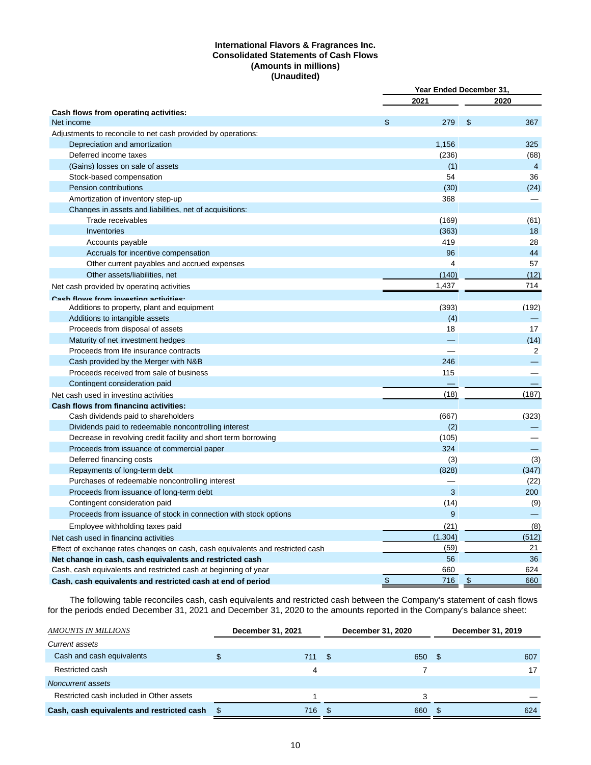# **International Flavors & Fragrances Inc. Consolidated Statements of Cash Flows (Amounts in millions) (Unaudited)**

|                                                                                | Year Ended December 31, |                |
|--------------------------------------------------------------------------------|-------------------------|----------------|
|                                                                                | 2021                    | 2020           |
| Cash flows from operating activities:                                          |                         |                |
| Net income                                                                     | \$<br>279               | \$<br>367      |
| Adjustments to reconcile to net cash provided by operations:                   |                         |                |
| Depreciation and amortization                                                  | 1,156                   | 325            |
| Deferred income taxes                                                          | (236)                   | (68)           |
| (Gains) losses on sale of assets                                               | (1)                     | $\overline{4}$ |
| Stock-based compensation                                                       | 54                      | 36             |
| Pension contributions                                                          | (30)                    | (24)           |
| Amortization of inventory step-up                                              | 368                     |                |
| Changes in assets and liabilities, net of acquisitions:                        |                         |                |
| Trade receivables                                                              | (169)                   | (61)           |
| Inventories                                                                    | (363)                   | 18             |
| Accounts payable                                                               | 419                     | 28             |
| Accruals for incentive compensation                                            | 96                      | 44             |
| Other current payables and accrued expenses                                    | 4                       | 57             |
| Other assets/liabilities, net                                                  | (140)                   | (12)           |
| Net cash provided by operating activities                                      | 1,437                   | 714            |
| Cash flows from investing activities.                                          |                         |                |
| Additions to property, plant and equipment                                     | (393)                   | (192)          |
| Additions to intangible assets                                                 | (4)                     |                |
| Proceeds from disposal of assets                                               | 18                      | 17             |
| Maturity of net investment hedges                                              |                         | (14)           |
| Proceeds from life insurance contracts                                         |                         | 2              |
| Cash provided by the Merger with N&B                                           | 246                     |                |
| Proceeds received from sale of business                                        | 115                     |                |
| Contingent consideration paid                                                  |                         |                |
| Net cash used in investing activities                                          | (18)                    | (187)          |
| <b>Cash flows from financing activities:</b>                                   |                         |                |
| Cash dividends paid to shareholders                                            | (667)                   | (323)          |
| Dividends paid to redeemable noncontrolling interest                           | (2)                     |                |
| Decrease in revolving credit facility and short term borrowing                 | (105)                   |                |
| Proceeds from issuance of commercial paper                                     | 324                     |                |
| Deferred financing costs                                                       | (3)                     | (3)            |
| Repayments of long-term debt                                                   | (828)                   | (347)          |
| Purchases of redeemable noncontrolling interest                                |                         | (22)           |
| Proceeds from issuance of long-term debt                                       | 3                       | 200            |
| Contingent consideration paid                                                  | (14)                    | (9)            |
| Proceeds from issuance of stock in connection with stock options               | 9                       |                |
|                                                                                |                         |                |
| Employee withholding taxes paid                                                | (21)                    | (8)            |
| Net cash used in financing activities                                          | (1, 304)                | (512)          |
| Effect of exchange rates changes on cash, cash equivalents and restricted cash | (59)                    | 21             |
| Net change in cash, cash equivalents and restricted cash                       | 56                      | 36             |
| Cash, cash equivalents and restricted cash at beginning of year                | 660                     | 624            |
| Cash, cash equivalents and restricted cash at end of period                    | \$<br>716               | \$<br>660      |

The following table reconciles cash, cash equivalents and restricted cash between the Company's statement of cash flows for the periods ended December 31, 2021 and December 31, 2020 to the amounts reported in the Company's balance sheet:

| AMOUNTS IN MILLIONS                        | December 31, 2021 |      | December 31, 2020 |      |     |  | December 31, 2019 |
|--------------------------------------------|-------------------|------|-------------------|------|-----|--|-------------------|
| <b>Current assets</b>                      |                   |      |                   |      |     |  |                   |
| Cash and cash equivalents                  | 711               | - \$ | 650               | - \$ | 607 |  |                   |
| Restricted cash                            | 4                 |      |                   |      | 17  |  |                   |
| Noncurrent assets                          |                   |      |                   |      |     |  |                   |
| Restricted cash included in Other assets   |                   |      | з                 |      |     |  |                   |
| Cash, cash equivalents and restricted cash | \$<br>716         | - \$ | 660               | \$.  | 624 |  |                   |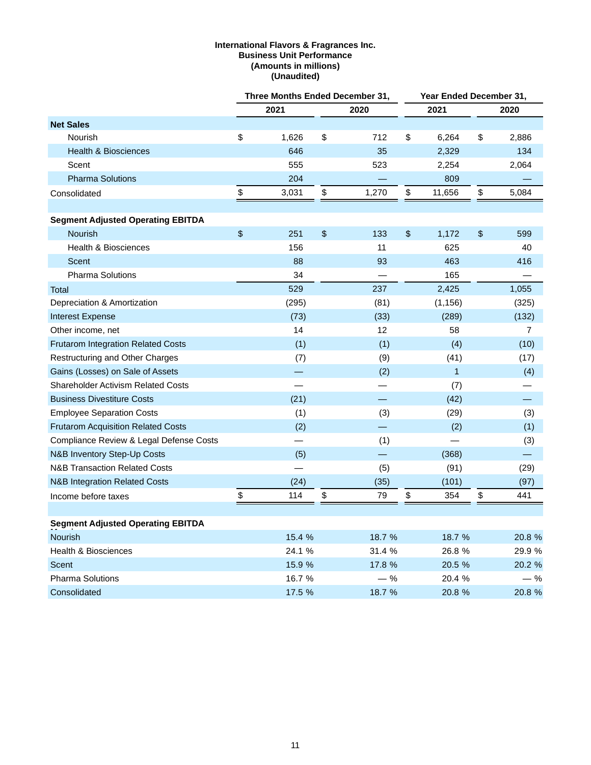### **International Flavors & Fragrances Inc. Business Unit Performance (Amounts in millions) (Unaudited)**

|                                           | Three Months Ended December 31, |                          |    |                          | Year Ended December 31,   |              |    |        |
|-------------------------------------------|---------------------------------|--------------------------|----|--------------------------|---------------------------|--------------|----|--------|
|                                           |                                 | 2021                     |    | 2020                     |                           | 2021         |    | 2020   |
| <b>Net Sales</b>                          |                                 |                          |    |                          |                           |              |    |        |
| Nourish                                   | \$                              | 1,626                    | \$ | 712                      | \$                        | 6,264        | \$ | 2,886  |
| <b>Health &amp; Biosciences</b>           |                                 | 646                      |    | 35                       |                           | 2,329        |    | 134    |
| Scent                                     |                                 | 555                      |    | 523                      |                           | 2,254        |    | 2,064  |
| <b>Pharma Solutions</b>                   |                                 | 204                      |    |                          |                           | 809          |    |        |
| Consolidated                              | \$                              | 3,031                    | \$ | 1,270                    | \$                        | 11,656       | \$ | 5,084  |
|                                           |                                 |                          |    |                          |                           |              |    |        |
| <b>Segment Adjusted Operating EBITDA</b>  |                                 |                          |    |                          |                           |              |    |        |
| Nourish                                   | $\sqrt[6]{\frac{1}{2}}$         | 251                      | \$ | 133                      | $\boldsymbol{\mathsf{S}}$ | 1,172        | \$ | 599    |
| <b>Health &amp; Biosciences</b>           |                                 | 156                      |    | 11                       |                           | 625          |    | 40     |
| Scent                                     |                                 | 88                       |    | 93                       |                           | 463          |    | 416    |
| <b>Pharma Solutions</b>                   |                                 | 34                       |    |                          |                           | 165          |    |        |
| <b>Total</b>                              |                                 | 529                      |    | 237                      |                           | 2,425        |    | 1,055  |
| Depreciation & Amortization               |                                 | (295)                    |    | (81)                     |                           | (1, 156)     |    | (325)  |
| Interest Expense                          |                                 | (73)                     |    | (33)                     |                           | (289)        |    | (132)  |
| Other income, net                         |                                 | 14                       |    | 12                       |                           | 58           |    | 7      |
| <b>Frutarom Integration Related Costs</b> |                                 | (1)                      |    | (1)                      |                           | (4)          |    | (10)   |
| Restructuring and Other Charges           |                                 | (7)                      |    | (9)                      |                           | (41)         |    | (17)   |
| Gains (Losses) on Sale of Assets          |                                 |                          |    | (2)                      |                           | $\mathbf{1}$ |    | (4)    |
| <b>Shareholder Activism Related Costs</b> |                                 | $\overline{\phantom{0}}$ |    | $\overline{\phantom{0}}$ |                           | (7)          |    |        |
| <b>Business Divestiture Costs</b>         |                                 | (21)                     |    |                          |                           | (42)         |    |        |
| <b>Employee Separation Costs</b>          |                                 | (1)                      |    | (3)                      |                           | (29)         |    | (3)    |
| <b>Frutarom Acquisition Related Costs</b> |                                 | (2)                      |    |                          |                           | (2)          |    | (1)    |
| Compliance Review & Legal Defense Costs   |                                 |                          |    | (1)                      |                           |              |    | (3)    |
| <b>N&amp;B Inventory Step-Up Costs</b>    |                                 | (5)                      |    | $\overline{\phantom{0}}$ |                           | (368)        |    |        |
| <b>N&amp;B Transaction Related Costs</b>  |                                 |                          |    | (5)                      |                           | (91)         |    | (29)   |
| <b>N&amp;B Integration Related Costs</b>  |                                 | (24)                     |    | (35)                     |                           | (101)        |    | (97)   |
| Income before taxes                       | \$                              | 114                      | \$ | 79                       | \$                        | 354          | \$ | 441    |
|                                           |                                 |                          |    |                          |                           |              |    |        |
| <b>Segment Adjusted Operating EBITDA</b>  |                                 |                          |    |                          |                           |              |    |        |
| <b>Nourish</b>                            |                                 | 15.4 %                   |    | 18.7 %                   |                           | 18.7 %       |    | 20.8 % |
| <b>Health &amp; Biosciences</b>           |                                 | 24.1 %                   |    | 31.4 %                   |                           | 26.8 %       |    | 29.9 % |
| Scent                                     |                                 | 15.9 %                   |    | 17.8 %                   |                           | 20.5 %       |    | 20.2 % |
| <b>Pharma Solutions</b>                   |                                 | 16.7%                    |    | $-$ %                    |                           | 20.4 %       |    | $-$ %  |
| Consolidated                              |                                 | 17.5 %                   |    | 18.7 %                   |                           | 20.8 %       |    | 20.8 % |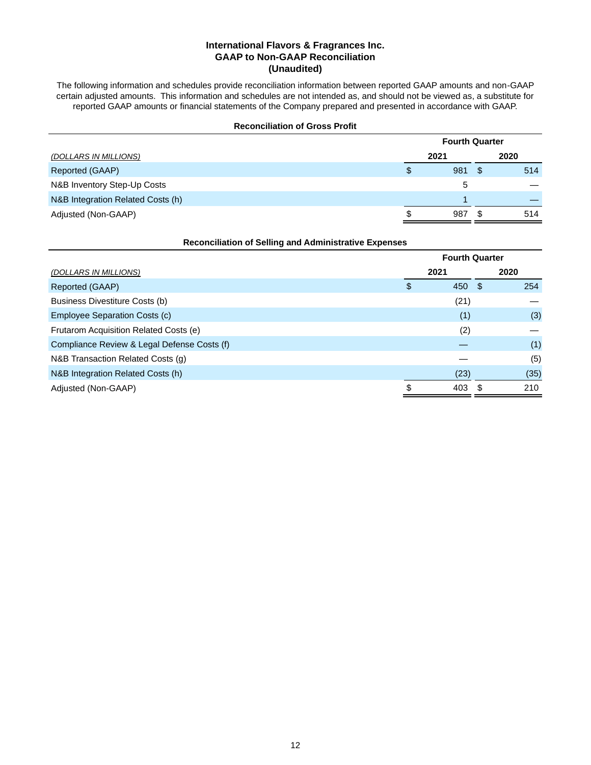# **International Flavors & Fragrances Inc. GAAP to Non-GAAP Reconciliation (Unaudited)**

The following information and schedules provide reconciliation information between reported GAAP amounts and non-GAAP certain adjusted amounts. This information and schedules are not intended as, and should not be viewed as, a substitute for reported GAAP amounts or financial statements of the Company prepared and presented in accordance with GAAP.

|                       | <b>Reconciliation of Gross Profit</b> |                       |               |     |
|-----------------------|---------------------------------------|-----------------------|---------------|-----|
|                       |                                       | <b>Fourth Quarter</b> |               |     |
| (DOLLARS IN MILLIONS) |                                       | 2021                  | 2020          |     |
| Reported (GAAP)       |                                       | 981                   | <sup>\$</sup> | 514 |
|                       |                                       |                       |               |     |

| N&B Inventory Step-Up Costs       |        |     |
|-----------------------------------|--------|-----|
| N&B Integration Related Costs (h) |        |     |
| Adjusted (Non-GAAP)               | 987 \$ | 514 |

# **Reconciliation of Selling and Administrative Expenses**

|                                             | <b>Fourth Quarter</b> |      |      |  |
|---------------------------------------------|-----------------------|------|------|--|
| (DOLLARS IN MILLIONS)                       | 2021                  |      | 2020 |  |
| Reported (GAAP)                             | \$<br>450             | - \$ | 254  |  |
| Business Divestiture Costs (b)              | (21)                  |      |      |  |
| Employee Separation Costs (c)               | (1)                   |      | (3)  |  |
| Frutarom Acquisition Related Costs (e)      | (2)                   |      |      |  |
| Compliance Review & Legal Defense Costs (f) |                       |      | (1)  |  |
| N&B Transaction Related Costs (g)           |                       |      | (5)  |  |
| N&B Integration Related Costs (h)           | (23)                  |      | (35) |  |
| Adjusted (Non-GAAP)                         | \$<br>403             |      | 210  |  |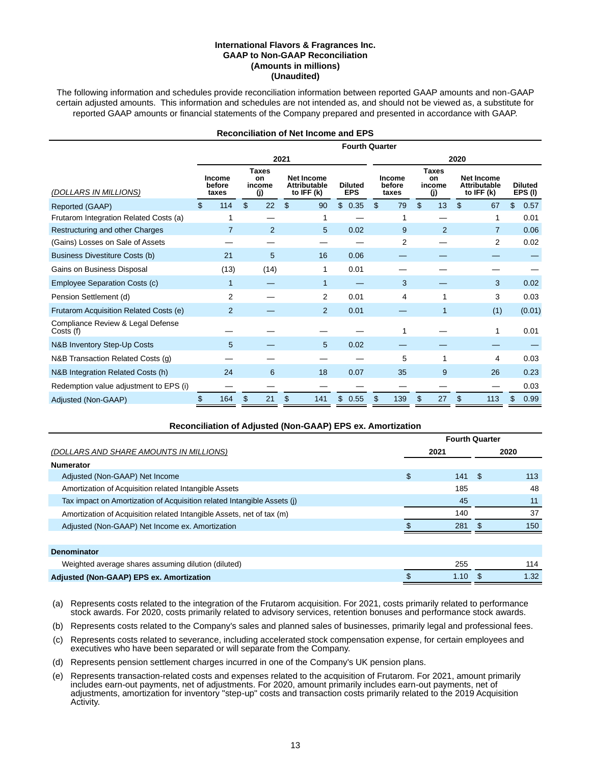#### **International Flavors & Fragrances Inc. GAAP to Non-GAAP Reconciliation (Amounts in millions) (Unaudited)**

The following information and schedules provide reconciliation information between reported GAAP amounts and non-GAAP certain adjusted amounts. This information and schedules are not intended as, and should not be viewed as, a substitute for reported GAAP amounts or financial statements of the Company prepared and presented in accordance with GAAP.

| <b>Reconciliation of Net Income and EPS</b>    |    |                                  |    |                                     |     |                                                        |                              |    |                                  |    |                                     |     |                                                          |    |                          |
|------------------------------------------------|----|----------------------------------|----|-------------------------------------|-----|--------------------------------------------------------|------------------------------|----|----------------------------------|----|-------------------------------------|-----|----------------------------------------------------------|----|--------------------------|
|                                                |    |                                  |    |                                     |     |                                                        | <b>Fourth Quarter</b>        |    |                                  |    |                                     |     |                                                          |    |                          |
|                                                |    | 2021                             |    |                                     |     |                                                        |                              |    | 2020                             |    |                                     |     |                                                          |    |                          |
| (DOLLARS IN MILLIONS)                          |    | <b>Income</b><br>before<br>taxes |    | <b>Taxes</b><br>on<br>income<br>(i) |     | <b>Net Income</b><br><b>Attributable</b><br>to IFF (k) | <b>Diluted</b><br><b>EPS</b> |    | <b>Income</b><br>before<br>taxes |    | <b>Taxes</b><br>on<br>income<br>(i) |     | <b>Net Income</b><br><b>Attributable</b><br>to IFF $(k)$ |    | <b>Diluted</b><br>EPS(I) |
| Reported (GAAP)                                | \$ | 114                              | \$ | 22                                  | \$. | 90                                                     | \$<br>0.35                   | \$ | 79                               | \$ | 13                                  | \$. | 67                                                       | \$ | 0.57                     |
| Frutarom Integration Related Costs (a)         |    |                                  |    |                                     |     |                                                        |                              |    | 1                                |    |                                     |     | 1                                                        |    | 0.01                     |
| Restructuring and other Charges                |    | 7                                |    | $\overline{2}$                      |     | 5                                                      | 0.02                         |    | 9                                |    | 2                                   |     | $\overline{7}$                                           |    | 0.06                     |
| (Gains) Losses on Sale of Assets               |    |                                  |    |                                     |     |                                                        |                              |    | 2                                |    |                                     |     | 2                                                        |    | 0.02                     |
| <b>Business Divestiture Costs (b)</b>          |    | 21                               |    | 5                                   |     | 16                                                     | 0.06                         |    |                                  |    |                                     |     |                                                          |    |                          |
| Gains on Business Disposal                     |    | (13)                             |    | (14)                                |     | 1                                                      | 0.01                         |    |                                  |    |                                     |     |                                                          |    |                          |
| <b>Employee Separation Costs (c)</b>           |    | 1                                |    |                                     |     | 1                                                      |                              |    | 3                                |    |                                     |     | 3                                                        |    | 0.02                     |
| Pension Settlement (d)                         |    | 2                                |    |                                     |     | 2                                                      | 0.01                         |    | 4                                |    | 1                                   |     | 3                                                        |    | 0.03                     |
| Frutarom Acquisition Related Costs (e)         |    | $\overline{2}$                   |    |                                     |     | 2                                                      | 0.01                         |    |                                  |    | 1                                   |     | (1)                                                      |    | (0.01)                   |
| Compliance Review & Legal Defense<br>Costs (f) |    |                                  |    |                                     |     |                                                        |                              |    | 1                                |    |                                     |     | 1                                                        |    | 0.01                     |
| <b>N&amp;B Inventory Step-Up Costs</b>         |    | 5                                |    |                                     |     | 5                                                      | 0.02                         |    |                                  |    |                                     |     |                                                          |    |                          |
| N&B Transaction Related Costs (g)              |    |                                  |    |                                     |     |                                                        |                              |    | 5                                |    | 1                                   |     | 4                                                        |    | 0.03                     |
| N&B Integration Related Costs (h)              |    | 24                               |    | 6                                   |     | 18                                                     | 0.07                         |    | 35                               |    | 9                                   |     | 26                                                       |    | 0.23                     |
| Redemption value adjustment to EPS (i)         |    |                                  |    |                                     |     |                                                        |                              |    |                                  |    |                                     |     |                                                          |    | 0.03                     |
| Adjusted (Non-GAAP)                            | \$ | 164                              | \$ | 21                                  | \$  | 141                                                    | \$<br>0.55                   | \$ | 139                              |    | 27                                  | \$  | 113                                                      | \$ | 0.99                     |

| Reconciliation of Adjusted (Non-GAAP) EPS ex. Amortization              |                       |      |     |      |  |  |  |  |  |
|-------------------------------------------------------------------------|-----------------------|------|-----|------|--|--|--|--|--|
|                                                                         | <b>Fourth Quarter</b> |      |     |      |  |  |  |  |  |
| (DOLLARS AND SHARE AMOUNTS IN MILLIONS)                                 |                       | 2021 |     | 2020 |  |  |  |  |  |
| <b>Numerator</b>                                                        |                       |      |     |      |  |  |  |  |  |
| Adjusted (Non-GAAP) Net Income                                          | \$                    | 141  | -\$ | 113  |  |  |  |  |  |
| Amortization of Acquisition related Intangible Assets                   |                       | 185  |     | 48   |  |  |  |  |  |
| Tax impact on Amortization of Acquisition related Intangible Assets (i) |                       | 45   |     | 11   |  |  |  |  |  |
| Amortization of Acquisition related Intangible Assets, net of tax (m)   |                       | 140  |     | 37   |  |  |  |  |  |
| Adjusted (Non-GAAP) Net Income ex. Amortization                         |                       | 281  |     | 150  |  |  |  |  |  |
|                                                                         |                       |      |     |      |  |  |  |  |  |
| <b>Denominator</b>                                                      |                       |      |     |      |  |  |  |  |  |
| Weighted average shares assuming dilution (diluted)                     |                       | 255  |     | 114  |  |  |  |  |  |
| Adjusted (Non-GAAP) EPS ex. Amortization                                |                       | 1.10 |     | 1.32 |  |  |  |  |  |

(a) Represents costs related to the integration of the Frutarom acquisition. For 2021, costs primarily related to performance stock awards. For 2020, costs primarily related to advisory services, retention bonuses and performance stock awards.

(b) Represents costs related to the Company's sales and planned sales of businesses, primarily legal and professional fees.

(c) Represents costs related to severance, including accelerated stock compensation expense, for certain employees and executives who have been separated or will separate from the Company.

(d) Represents pension settlement charges incurred in one of the Company's UK pension plans.

(e) Represents transaction-related costs and expenses related to the acquisition of Frutarom. For 2021, amount primarily includes earn-out payments, net of adjustments. For 2020, amount primarily includes earn-out payments, net of adjustments, amortization for inventory "step-up" costs and transaction costs primarily related to the 2019 Acquisition Activity.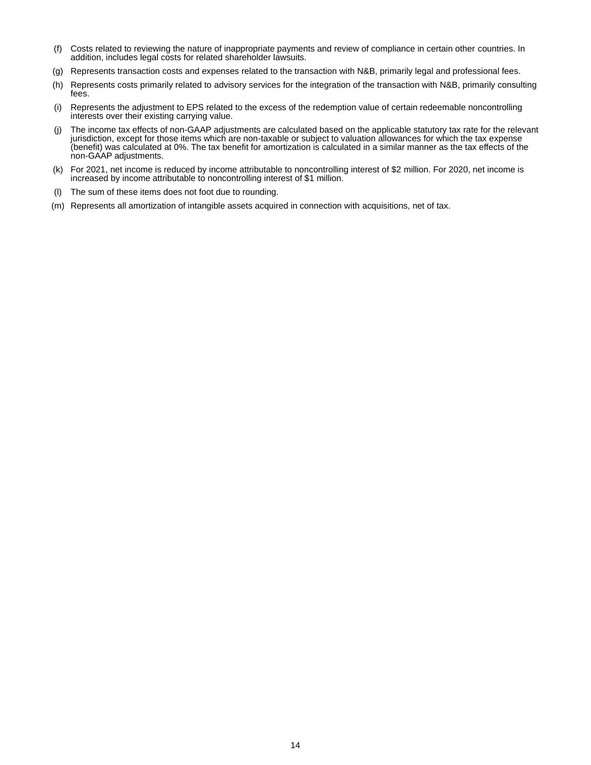- (f) Costs related to reviewing the nature of inappropriate payments and review of compliance in certain other countries. In addition, includes legal costs for related shareholder lawsuits.
- (g) Represents transaction costs and expenses related to the transaction with N&B, primarily legal and professional fees.
- (h) Represents costs primarily related to advisory services for the integration of the transaction with N&B, primarily consulting fees.
- (i) Represents the adjustment to EPS related to the excess of the redemption value of certain redeemable noncontrolling interests over their existing carrying value.
- (j) The income tax effects of non-GAAP adjustments are calculated based on the applicable statutory tax rate for the relevant jurisdiction, except for those items which are non-taxable or subject to valuation allowances for which the tax expense (benefit) was calculated at 0%. The tax benefit for amortization is calculated in a similar manner as the tax effects of the non-GAAP adjustments.
- (k) For 2021, net income is reduced by income attributable to noncontrolling interest of \$2 million. For 2020, net income is increased by income attributable to noncontrolling interest of \$1 million.
- (l) The sum of these items does not foot due to rounding.
- (m) Represents all amortization of intangible assets acquired in connection with acquisitions, net of tax.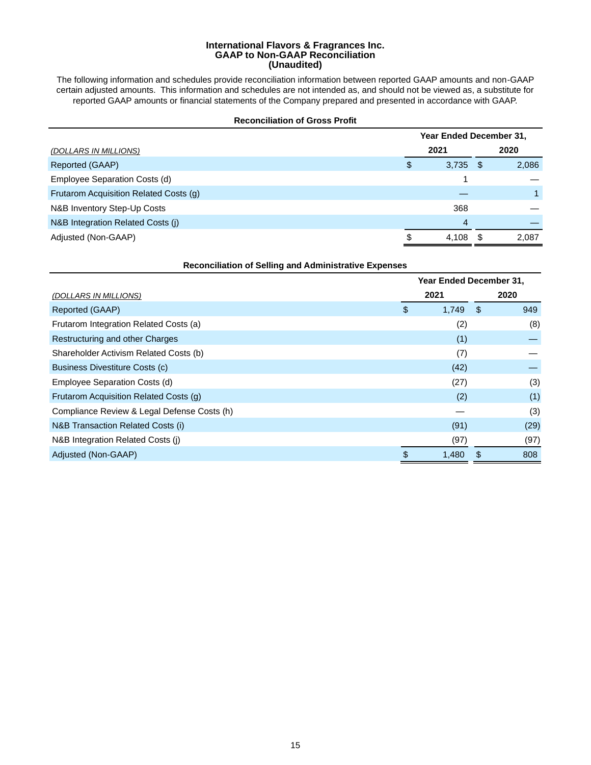#### **International Flavors & Fragrances Inc. GAAP to Non-GAAP Reconciliation (Unaudited)**

The following information and schedules provide reconciliation information between reported GAAP amounts and non-GAAP certain adjusted amounts. This information and schedules are not intended as, and should not be viewed as, a substitute for reported GAAP amounts or financial statements of the Company prepared and presented in accordance with GAAP.

#### **Reconciliation of Gross Profit**

|                                        | Year Ended December 31, |            |     |       |  |
|----------------------------------------|-------------------------|------------|-----|-------|--|
| (DOLLARS IN MILLIONS)                  |                         | 2021       |     | 2020  |  |
| Reported (GAAP)                        | \$                      | $3,735$ \$ |     | 2,086 |  |
| Employee Separation Costs (d)          |                         |            |     |       |  |
| Frutarom Acquisition Related Costs (g) |                         |            |     |       |  |
| N&B Inventory Step-Up Costs            |                         | 368        |     |       |  |
| N&B Integration Related Costs (j)      |                         | 4          |     |       |  |
| Adjusted (Non-GAAP)                    | S                       | 4,108      | \$. | 2,087 |  |

| <b>Reconciliation of Selling and Administrative Expenses</b> |                         |       |    |      |  |  |  |  |  |
|--------------------------------------------------------------|-------------------------|-------|----|------|--|--|--|--|--|
|                                                              | Year Ended December 31, |       |    |      |  |  |  |  |  |
| (DOLLARS IN MILLIONS)                                        |                         | 2021  |    | 2020 |  |  |  |  |  |
| Reported (GAAP)                                              | \$                      | 1,749 | \$ | 949  |  |  |  |  |  |
| Frutarom Integration Related Costs (a)                       |                         | (2)   |    | (8)  |  |  |  |  |  |
| Restructuring and other Charges                              |                         | (1)   |    |      |  |  |  |  |  |
| Shareholder Activism Related Costs (b)                       |                         | (7)   |    |      |  |  |  |  |  |
| Business Divestiture Costs (c)                               |                         | (42)  |    |      |  |  |  |  |  |
| Employee Separation Costs (d)                                |                         | (27)  |    | (3)  |  |  |  |  |  |
| Frutarom Acquisition Related Costs (q)                       |                         | (2)   |    | (1)  |  |  |  |  |  |
| Compliance Review & Legal Defense Costs (h)                  |                         |       |    | (3)  |  |  |  |  |  |
| N&B Transaction Related Costs (i)                            |                         | (91)  |    | (29) |  |  |  |  |  |
| N&B Integration Related Costs (j)                            |                         | (97)  |    | (97) |  |  |  |  |  |
| Adjusted (Non-GAAP)                                          | \$                      | 1,480 |    | 808  |  |  |  |  |  |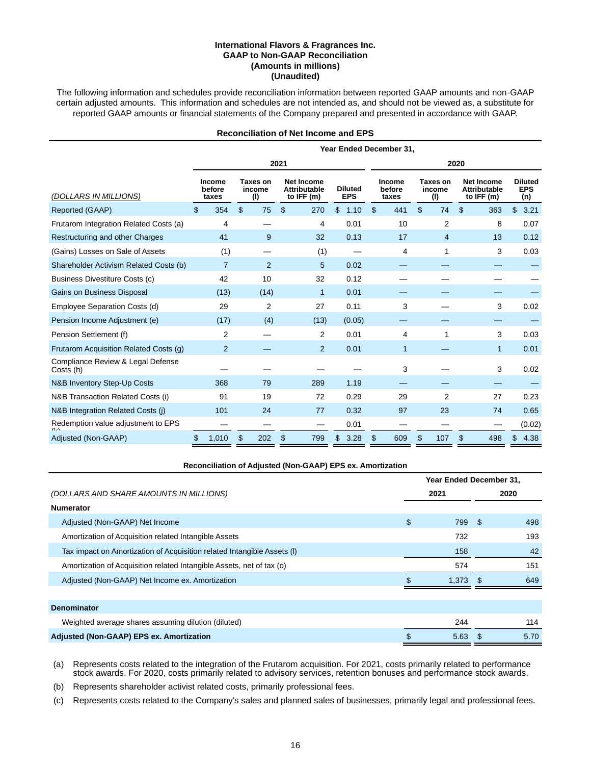#### **International Flavors & Fragrances Inc. GAAP to Non-GAAP Reconciliation (Amounts in millions) (Unaudited)**

The following information and schedules provide reconciliation information between reported GAAP amounts and non-GAAP certain adjusted amounts. This information and schedules are not intended as, and should not be viewed as, a substitute for reported GAAP amounts or financial statements of the Company prepared and presented in accordance with GAAP.

### **Reconciliation of Net Income and EPS**

|                                                | Year Ended December 31,   |                           |                                                          |                              |                           |                           |                                                        |                                     |  |  |  |
|------------------------------------------------|---------------------------|---------------------------|----------------------------------------------------------|------------------------------|---------------------------|---------------------------|--------------------------------------------------------|-------------------------------------|--|--|--|
|                                                |                           |                           | 2021                                                     |                              | 2020                      |                           |                                                        |                                     |  |  |  |
| (DOLLARS IN MILLIONS)                          | Income<br>before<br>taxes | Taxes on<br>income<br>(1) | <b>Net Income</b><br><b>Attributable</b><br>to IFF $(m)$ | <b>Diluted</b><br><b>EPS</b> | Income<br>before<br>taxes | Taxes on<br>income<br>(1) | <b>Net Income</b><br><b>Attributable</b><br>to IFF (m) | <b>Diluted</b><br><b>EPS</b><br>(n) |  |  |  |
| Reported (GAAP)                                | 354<br>\$                 | \$<br>75                  | \$<br>270                                                | \$<br>1.10                   | \$<br>441                 | \$<br>74                  | 363<br>S                                               | $\mathfrak{L}$<br>3.21              |  |  |  |
| Frutarom Integration Related Costs (a)         | 4                         |                           | 4                                                        | 0.01                         | 10                        | $\overline{2}$            | 8                                                      | 0.07                                |  |  |  |
| Restructuring and other Charges                | 41                        | 9                         | 32                                                       | 0.13                         | 17                        | $\overline{4}$            | 13                                                     | 0.12                                |  |  |  |
| (Gains) Losses on Sale of Assets               | (1)                       |                           | (1)                                                      |                              | 4                         | 1                         | 3                                                      | 0.03                                |  |  |  |
| Shareholder Activism Related Costs (b)         | $\overline{7}$            | 2                         | 5                                                        | 0.02                         |                           |                           |                                                        |                                     |  |  |  |
| Business Divestiture Costs (c)                 | 42                        | 10                        | 32                                                       | 0.12                         |                           |                           |                                                        |                                     |  |  |  |
| Gains on Business Disposal                     | (13)                      | (14)                      | 1                                                        | 0.01                         |                           |                           |                                                        |                                     |  |  |  |
| Employee Separation Costs (d)                  | 29                        | 2                         | 27                                                       | 0.11                         | 3                         |                           | 3                                                      | 0.02                                |  |  |  |
| Pension Income Adjustment (e)                  | (17)                      | (4)                       | (13)                                                     | (0.05)                       |                           |                           |                                                        |                                     |  |  |  |
| Pension Settlement (f)                         | 2                         |                           | 2                                                        | 0.01                         | 4                         | 1                         | 3                                                      | 0.03                                |  |  |  |
| Frutarom Acquisition Related Costs (g)         | $\overline{2}$            |                           | $\overline{2}$                                           | 0.01                         | $\mathbf{1}$              |                           | $\mathbf{1}$                                           | 0.01                                |  |  |  |
| Compliance Review & Legal Defense<br>Costs (h) |                           |                           |                                                          |                              | 3                         |                           | 3                                                      | 0.02                                |  |  |  |
| N&B Inventory Step-Up Costs                    | 368                       | 79                        | 289                                                      | 1.19                         |                           |                           |                                                        |                                     |  |  |  |
| N&B Transaction Related Costs (i)              | 91                        | 19                        | 72                                                       | 0.29                         | 29                        | 2                         | 27                                                     | 0.23                                |  |  |  |
| N&B Integration Related Costs (j)              | 101                       | 24                        | 77                                                       | 0.32                         | 97                        | 23                        | 74                                                     | 0.65                                |  |  |  |
| Redemption value adjustment to EPS             |                           |                           |                                                          | 0.01                         |                           |                           |                                                        | (0.02)                              |  |  |  |
| Adjusted (Non-GAAP)                            | 1,010<br>S.               | 202<br>\$                 | \$<br>799                                                | \$<br>3.28                   | \$<br>609                 | \$.<br>107                | 498<br>\$                                              | \$<br>4.38                          |  |  |  |

#### **Reconciliation of Adjusted (Non-GAAP) EPS ex. Amortization**

|                                                                         | Year Ended December 31, |       |      |      |  |
|-------------------------------------------------------------------------|-------------------------|-------|------|------|--|
| (DOLLARS AND SHARE AMOUNTS IN MILLIONS)                                 |                         | 2021  |      | 2020 |  |
| <b>Numerator</b>                                                        |                         |       |      |      |  |
| Adjusted (Non-GAAP) Net Income                                          | \$                      | 799   | - \$ | 498  |  |
| Amortization of Acquisition related Intangible Assets                   |                         | 732   |      | 193  |  |
| Tax impact on Amortization of Acquisition related Intangible Assets (I) |                         | 158   |      | 42   |  |
| Amortization of Acquisition related Intangible Assets, net of tax (o)   |                         | 574   |      | 151  |  |
| Adjusted (Non-GAAP) Net Income ex. Amortization                         |                         | 1,373 | - \$ | 649  |  |
|                                                                         |                         |       |      |      |  |
| <b>Denominator</b>                                                      |                         |       |      |      |  |
| Weighted average shares assuming dilution (diluted)                     |                         | 244   |      | 114  |  |
| Adjusted (Non-GAAP) EPS ex. Amortization                                | \$                      | 5.63  | Ж,   | 5.70 |  |

(a) Represents costs related to the integration of the Frutarom acquisition. For 2021, costs primarily related to performance stock awards. For 2020, costs primarily related to advisory services, retention bonuses and performance stock awards.

(b) Represents shareholder activist related costs, primarily professional fees.

(c) Represents costs related to the Company's sales and planned sales of businesses, primarily legal and professional fees.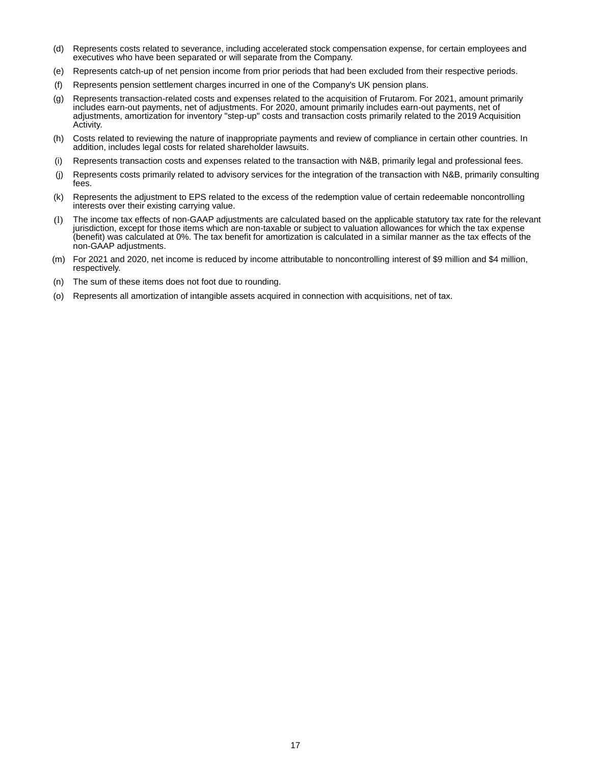- (d) Represents costs related to severance, including accelerated stock compensation expense, for certain employees and executives who have been separated or will separate from the Company.
- (e) Represents catch-up of net pension income from prior periods that had been excluded from their respective periods.
- (f) Represents pension settlement charges incurred in one of the Company's UK pension plans.
- (g) Represents transaction-related costs and expenses related to the acquisition of Frutarom. For 2021, amount primarily includes earn-out payments, net of adjustments. For 2020, amount primarily includes earn-out payments, net of adjustments, amortization for inventory "step-up" costs and transaction costs primarily related to the 2019 Acquisition Activity.
- (h) Costs related to reviewing the nature of inappropriate payments and review of compliance in certain other countries. In addition, includes legal costs for related shareholder lawsuits.
- (i) Represents transaction costs and expenses related to the transaction with N&B, primarily legal and professional fees.
- (j) Represents costs primarily related to advisory services for the integration of the transaction with N&B, primarily consulting fees.
- (k) Represents the adjustment to EPS related to the excess of the redemption value of certain redeemable noncontrolling interests over their existing carrying value.
- (l) The income tax effects of non-GAAP adjustments are calculated based on the applicable statutory tax rate for the relevant jurisdiction, except for those items which are non-taxable or subject to valuation allowances for which the tax expense (benefit) was calculated at 0%. The tax benefit for amortization is calculated in a similar manner as the tax effects of the non-GAAP adjustments.
- (m) For 2021 and 2020, net income is reduced by income attributable to noncontrolling interest of \$9 million and \$4 million, respectively.
- (n) The sum of these items does not foot due to rounding.
- (o) Represents all amortization of intangible assets acquired in connection with acquisitions, net of tax.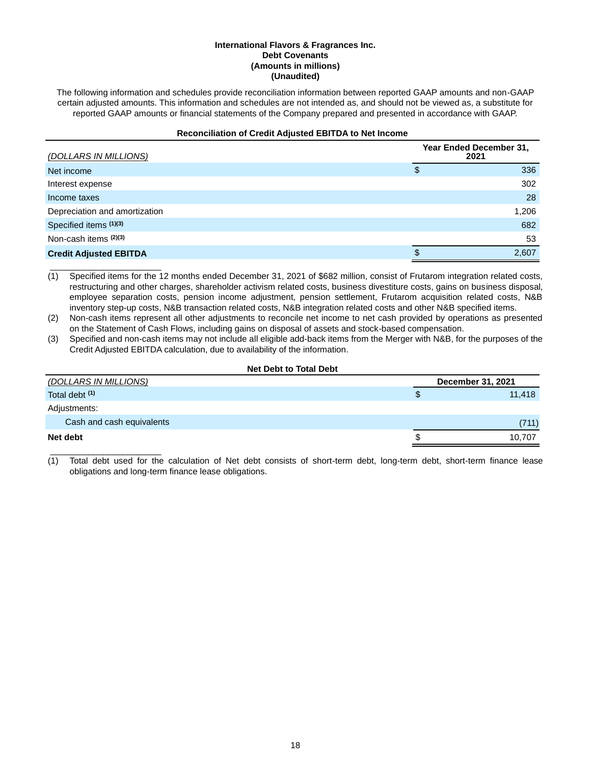### **International Flavors & Fragrances Inc. Debt Covenants (Amounts in millions) (Unaudited)**

The following information and schedules provide reconciliation information between reported GAAP amounts and non-GAAP certain adjusted amounts. This information and schedules are not intended as, and should not be viewed as, a substitute for reported GAAP amounts or financial statements of the Company prepared and presented in accordance with GAAP.

# **Reconciliation of Credit Adjusted EBITDA to Net Income**

| (DOLLARS IN MILLIONS)         | Year Ended December 31,<br>2021 |       |  |  |  |
|-------------------------------|---------------------------------|-------|--|--|--|
| Net income                    | \$                              | 336   |  |  |  |
| Interest expense              |                                 | 302   |  |  |  |
| Income taxes                  |                                 | 28    |  |  |  |
| Depreciation and amortization |                                 | 1,206 |  |  |  |
| Specified items (1)(3)        |                                 | 682   |  |  |  |
| Non-cash items (2)(3)         |                                 | 53    |  |  |  |
| <b>Credit Adjusted EBITDA</b> |                                 | 2,607 |  |  |  |

\_\_\_\_\_\_\_\_\_\_\_\_\_\_\_\_\_\_\_\_\_\_\_ (1) Specified items for the 12 months ended December 31, 2021 of \$682 million, consist of Frutarom integration related costs, restructuring and other charges, shareholder activism related costs, business divestiture costs, gains on business disposal, employee separation costs, pension income adjustment, pension settlement, Frutarom acquisition related costs, N&B inventory step-up costs, N&B transaction related costs, N&B integration related costs and other N&B specified items.

(2) Non-cash items represent all other adjustments to reconcile net income to net cash provided by operations as presented on the Statement of Cash Flows, including gains on disposal of assets and stock-based compensation.

(3) Specified and non-cash items may not include all eligible add-back items from the Merger with N&B, for the purposes of the Credit Adjusted EBITDA calculation, due to availability of the information.

#### **Net Debt to Total Debt**

| <u>(DOLLARS IN MILLIONS)</u> |   | December 31, 2021 |
|------------------------------|---|-------------------|
| Total debt <sup>(1)</sup>    | Ф | 11,418            |
| Adjustments:                 |   |                   |
| Cash and cash equivalents    |   | (711)             |
| Net debt                     |   | 10.707            |
|                              |   |                   |

(1) Total debt used for the calculation of Net debt consists of short-term debt, long-term debt, short-term finance lease obligations and long-term finance lease obligations.